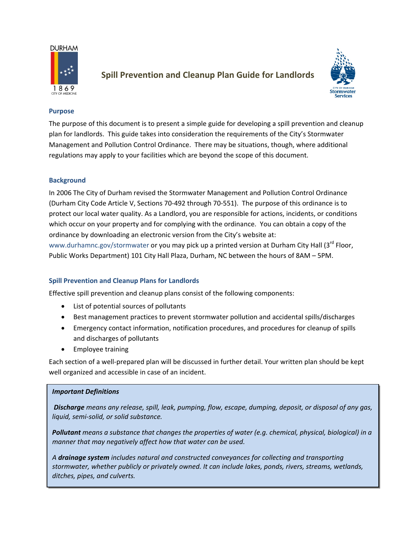#### **DURHAM**



# **Spill Prevention and Cleanup Plan Guide for Landlords**



1

#### **Purpose**

The purpose of this document is to present a simple guide for developing a spill prevention and cleanup plan for landlords. This guide takes into consideration the requirements of the City's Stormwater Management and Pollution Control Ordinance. There may be situations, though, where additional regulations may apply to your facilities which are beyond the scope of this document.

#### **Background**

In 2006 The City of Durham revised the Stormwater Management and Pollution Control Ordinance (Durham City Code Article V, Sections 70‐492 through 70‐551). The purpose of this ordinance is to protect our local water quality. As a Landlord, you are responsible for actions, incidents, or conditions which occur on your property and for complying with the ordinance. You can obtain a copy of the ordinance by downloading an electronic version from the City's website at:

www.durhamnc.gov/stormwater or you may pick up a printed version at Durham City Hall (3<sup>rd</sup> Floor, Public Works Department) 101 City Hall Plaza, Durham, NC between the hours of 8AM – 5PM.

### **Spill Prevention and Cleanup Plans for Landlords**

Effective spill prevention and cleanup plans consist of the following components:

- List of potential sources of pollutants
- Best management practices to prevent stormwater pollution and accidental spills/discharges
- Emergency contact information, notification procedures, and procedures for cleanup of spills and discharges of pollutants
- Employee training

Each section of a well‐prepared plan will be discussed in further detail. Your written plan should be kept well organized and accessible in case of an incident.

#### a sa kacamatan ing Kabupatèn Kabupatèn Kabupatèn Kabupatèn Kabupatèn Kabupatèn Kabupatèn Kabupatèn Kabupatèn K *Important Definitions*

*Discharge means any release, spill, leak, pumping, flow, escape, dumping, deposit, or disposal of any gas, liquid, semi‐solid, or solid substance.*

*Pollutant means a substance that changes the properties of water (e.g. chemical, physical, biological) in a manner that may negatively affect how that water can be used.*

*A drainage system includes natural and constructed conveyances for collecting and transporting stormwater, whether publicly or privately owned. It can include lakes, ponds, rivers, streams, wetlands, ditches, pipes, and culverts.*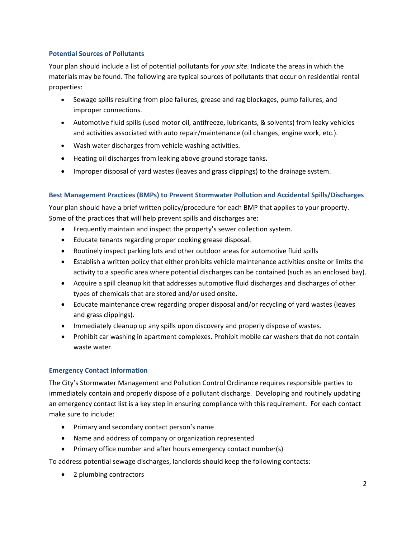# **Potential Sources of Pollutants**

Your plan should include a list of potential pollutants for *your site*. Indicate the areas in which the materials may be found. The following are typical sources of pollutants that occur on residential rental properties:

- Sewage spills resulting from pipe failures, grease and rag blockages, pump failures, and improper connections.
- Automotive fluid spills (used motor oil, antifreeze, lubricants, & solvents) from leaky vehicles and activities associated with auto repair/maintenance (oil changes, engine work, etc.).
- Wash water discharges from vehicle washing activities.
- Heating oil discharges from leaking above ground storage tanks**.**
- Improper disposal of yard wastes (leaves and grass clippings) to the drainage system.

# **Best Management Practices (BMPs) to Prevent Stormwater Pollution and Accidental Spills/Discharges**

Your plan should have a brief written policy/procedure for each BMP that applies to your property. Some of the practices that will help prevent spills and discharges are:

- Frequently maintain and inspect the property's sewer collection system.
- Educate tenants regarding proper cooking grease disposal.
- Routinely inspect parking lots and other outdoor areas for automotive fluid spills
- Establish a written policy that either prohibits vehicle maintenance activities onsite or limits the activity to a specific area where potential discharges can be contained (such as an enclosed bay).
- Acquire a spill cleanup kit that addresses automotive fluid discharges and discharges of other types of chemicals that are stored and/or used onsite.
- Educate maintenance crew regarding proper disposal and/or recycling of yard wastes (leaves and grass clippings).
- Immediately cleanup up any spills upon discovery and properly dispose of wastes.
- Prohibit car washing in apartment complexes. Prohibit mobile car washers that do not contain waste water.

# **Emergency Contact Information**

The City's Stormwater Management and Pollution Control Ordinance requires responsible parties to immediately contain and properly dispose of a pollutant discharge. Developing and routinely updating an emergency contact list is a key step in ensuring compliance with this requirement. For each contact make sure to include:

- Primary and secondary contact person's name
- Name and address of company or organization represented
- Primary office number and after hours emergency contact number(s)

To address potential sewage discharges, landlords should keep the following contacts:

• 2 plumbing contractors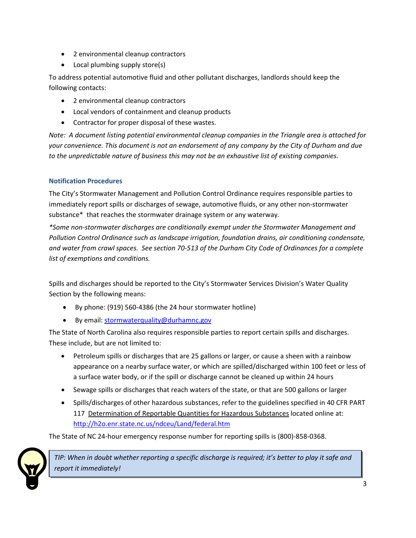- 2 environmental cleanup contractors
- Local plumbing supply store(s)

To address potential automotive fluid and other pollutant discharges, landlords should keep the following contacts:

- 2 environmental cleanup contractors
- Local vendors of containment and cleanup products
- Contractor for proper disposal of these wastes.

*Note: A document listing potential environmental cleanup companies in the Triangle area is attached for your convenience. This document is not an endorsement of any company by the City of Durham and due to the unpredictable nature of business this may not be an exhaustive list of existing companies.* 

# **Notification Procedures**

The City's Stormwater Management and Pollution Control Ordinance requires responsible parties to immediately report spills or discharges of sewage, automotive fluids, or any other non‐stormwater substance\* that reaches the stormwater drainage system or any waterway.

*\*Some non‐stormwater discharges are conditionally exempt under the Stormwater Management and Pollution Control Ordinance such as landscape irrigation, foundation drains, air conditioning condensate,* and water from crawl spaces. See section 70-513 of the Durham City Code of Ordinances for a complete *list of exemptions and conditions.*

Spills and discharges should be reported to the City's Stormwater Services Division's Water Quality Section by the following means:

- By phone: (919) 560‐4386 (the 24 hour stormwater hotline)
- By email: stormwaterquality@durhamnc.gov

The State of North Carolina also requires responsible parties to report certain spills and discharges. These include, but are not limited to:

- Petroleum spills or discharges that are 25 gallons or larger, or cause a sheen with a rainbow appearance on a nearby surface water, or which are spilled/discharged within 100 feet or less of a surface water body, or if the spill or discharge cannot be cleaned up within 24 hours
- Sewage spills or discharges that reach waters of the state, or that are 500 gallons or larger
- Spills/discharges of other hazardous substances, refer to the guidelines specified in 40 CFR PART 117 Determination of Reportable Quantities for Hazardous Substances located online at: http://h2o.enr.state.nc.us/ndceu/Land/federal.htm

The State of NC 24‐hour emergency response number for reporting spills is (800)‐858‐0368.



TIP: When in doubt whether reporting a specific discharge is required; it's better to play it safe and *report it immediately!*